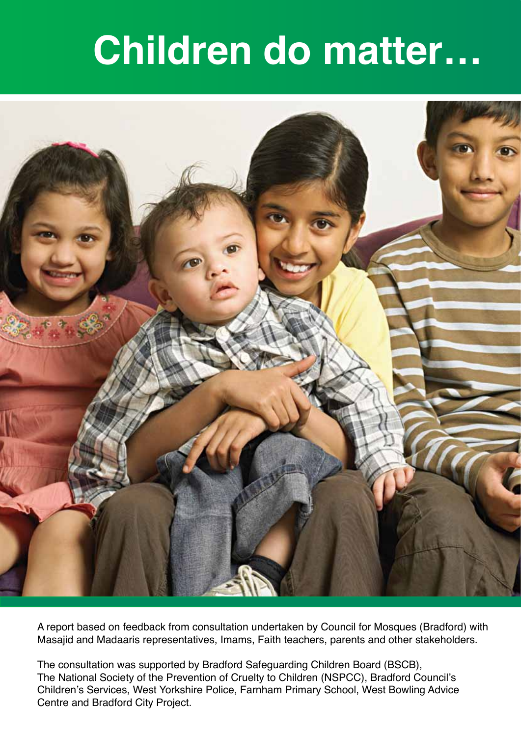# **Children do matter…**



A report based on feedback from consultation undertaken by Council for Mosques (Bradford) with Masajid and Madaaris representatives, Imams, Faith teachers, parents and other stakeholders.

The consultation was supported by Bradford Safeguarding Children Board (BSCB), The National Society of the Prevention of Cruelty to Children (NSPCC), Bradford Council's Children's Services, West Yorkshire Police, Farnham Primary School, West Bowling Advice Centre and Bradford City Project.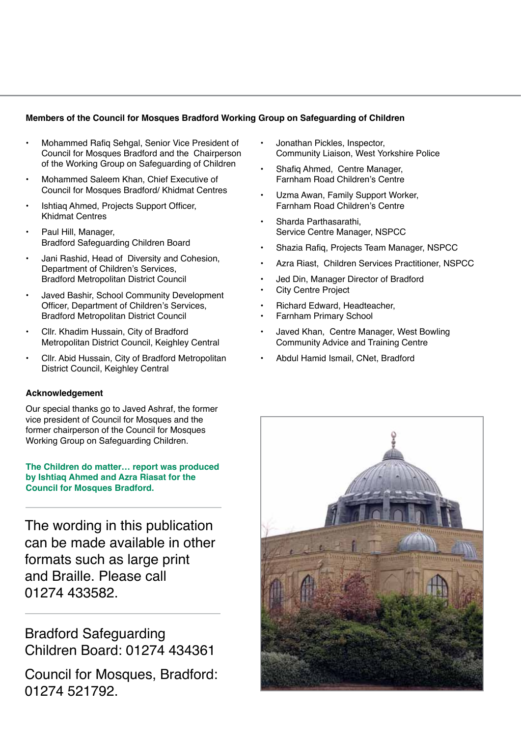#### **Members of the Council for Mosques Bradford Working Group on Safeguarding of Children**

- Mohammed Rafig Sehgal, Senior Vice President of Council for Mosques Bradford and the Chairperson of the Working Group on Safeguarding of Children
- Mohammed Saleem Khan, Chief Executive of Council for Mosques Bradford/ Khidmat Centres
- Ishtiag Ahmed, Projects Support Officer, Khidmat Centres
- Paul Hill, Manager, Bradford Safeguarding Children Board
- Jani Rashid, Head of Diversity and Cohesion, Department of Children's Services, Bradford Metropolitan District Council
- Javed Bashir, School Community Development Officer, Department of Children's Services, Bradford Metropolitan District Council
- Cllr. Khadim Hussain, City of Bradford Metropolitan District Council, Keighley Central
- Cllr. Abid Hussain, City of Bradford Metropolitan District Council, Keighley Central

#### **Acknowledgement**

Our special thanks go to Javed Ashraf, the former vice president of Council for Mosques and the former chairperson of the Council for Mosques Working Group on Safeguarding Children.

#### **The Children do matter… report was produced by Ishtiaq Ahmed and Azra Riasat for the Council for Mosques Bradford.**

The wording in this publication can be made available in other formats such as large print and Braille. Please call 01274 433582.

Bradford Safeguarding Children Board: 01274 434361

Council for Mosques, Bradford: 01274 521792.

- Jonathan Pickles, Inspector, Community Liaison, West Yorkshire Police
- Shafig Ahmed, Centre Manager, Farnham Road Children's Centre
- Uzma Awan, Family Support Worker, Farnham Road Children's Centre
- Sharda Parthasarathi, Service Centre Manager, NSPCC
- Shazia Rafig, Projects Team Manager, NSPCC
- Azra Riast, Children Services Practitioner, NSPCC
- Jed Din, Manager Director of Bradford
- **City Centre Project**
- Richard Edward, Headteacher,
- **Farnham Primary School**
- Javed Khan, Centre Manager, West Bowling Community Advice and Training Centre
- Abdul Hamid Ismail, CNet, Bradford

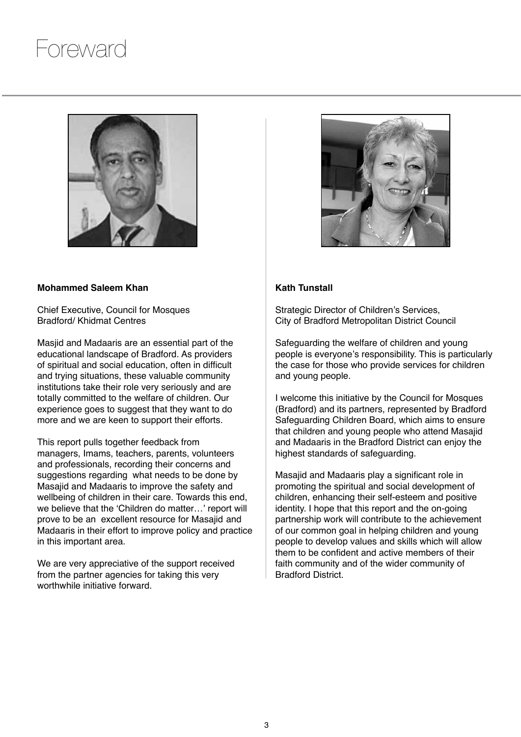## Foreward



#### **Mohammed Saleem Khan**

Chief Executive, Council for Mosques Bradford/ Khidmat Centres

Masjid and Madaaris are an essential part of the educational landscape of Bradford. As providers of spiritual and social education, often in difficult and trying situations, these valuable community institutions take their role very seriously and are totally committed to the welfare of children. Our experience goes to suggest that they want to do more and we are keen to support their efforts.

This report pulls together feedback from managers, Imams, teachers, parents, volunteers and professionals, recording their concerns and suggestions regarding what needs to be done by Masajid and Madaaris to improve the safety and wellbeing of children in their care. Towards this end, we believe that the 'Children do matter…' report will prove to be an excellent resource for Masajid and Madaaris in their effort to improve policy and practice in this important area.

We are very appreciative of the support received from the partner agencies for taking this very worthwhile initiative forward.



#### **Kath Tunstall**

Strategic Director of Children's Services, City of Bradford Metropolitan District Council

Safeguarding the welfare of children and young people is everyone's responsibility. This is particularly the case for those who provide services for children and young people.

I welcome this initiative by the Council for Mosques (Bradford) and its partners, represented by Bradford Safeguarding Children Board, which aims to ensure that children and young people who attend Masajid and Madaaris in the Bradford District can enjoy the highest standards of safeguarding.

Masajid and Madaaris play a significant role in promoting the spiritual and social development of children, enhancing their self-esteem and positive identity. I hope that this report and the on-going partnership work will contribute to the achievement of our common goal in helping children and young people to develop values and skills which will allow them to be confident and active members of their faith community and of the wider community of Bradford District.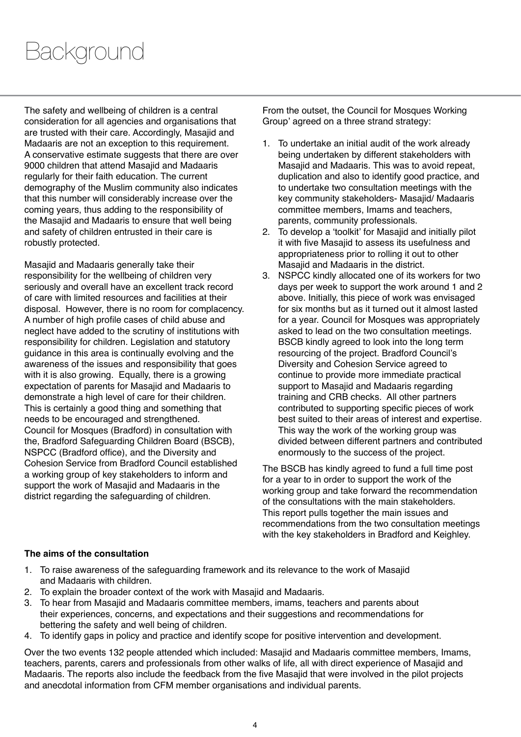# Background

The safety and wellbeing of children is a central consideration for all agencies and organisations that are trusted with their care. Accordingly, Masajid and Madaaris are not an exception to this requirement. A conservative estimate suggests that there are over 9000 children that attend Masajid and Madaaris regularly for their faith education. The current demography of the Muslim community also indicates that this number will considerably increase over the coming years, thus adding to the responsibility of the Masajid and Madaaris to ensure that well being and safety of children entrusted in their care is robustly protected.

Masajid and Madaaris generally take their responsibility for the wellbeing of children very seriously and overall have an excellent track record of care with limited resources and facilities at their disposal. However, there is no room for complacency. A number of high profile cases of child abuse and neglect have added to the scrutiny of institutions with responsibility for children. Legislation and statutory guidance in this area is continually evolving and the awareness of the issues and responsibility that goes with it is also growing. Equally, there is a growing expectation of parents for Masajid and Madaaris to demonstrate a high level of care for their children. This is certainly a good thing and something that needs to be encouraged and strengthened. Council for Mosques (Bradford) in consultation with the, Bradford Safeguarding Children Board (BSCB), NSPCC (Bradford office), and the Diversity and Cohesion Service from Bradford Council established a working group of key stakeholders to inform and support the work of Masajid and Madaaris in the district regarding the safeguarding of children.

From the outset, the Council for Mosques Working Group' agreed on a three strand strategy:

- 1. To undertake an initial audit of the work already being undertaken by different stakeholders with Masajid and Madaaris. This was to avoid repeat, duplication and also to identify good practice, and to undertake two consultation meetings with the key community stakeholders- Masajid/ Madaaris committee members, Imams and teachers, parents, community professionals.
- 2. To develop a 'toolkit' for Masajid and initially pilot it with five Masajid to assess its usefulness and appropriateness prior to rolling it out to other Masajid and Madaaris in the district.
- 3. NSPCC kindly allocated one of its workers for two days per week to support the work around 1 and 2 above. Initially, this piece of work was envisaged for six months but as it turned out it almost lasted for a year. Council for Mosques was appropriately asked to lead on the two consultation meetings. BSCB kindly agreed to look into the long term resourcing of the project. Bradford Council's Diversity and Cohesion Service agreed to continue to provide more immediate practical support to Masajid and Madaaris regarding training and CRB checks. All other partners contributed to supporting specific pieces of work best suited to their areas of interest and expertise. This way the work of the working group was divided between different partners and contributed enormously to the success of the project.

The BSCB has kindly agreed to fund a full time post for a year to in order to support the work of the working group and take forward the recommendation of the consultations with the main stakeholders. This report pulls together the main issues and recommendations from the two consultation meetings with the key stakeholders in Bradford and Keighley.

#### **The aims of the consultation**

- 1. To raise awareness of the safeguarding framework and its relevance to the work of Masajid and Madaaris with children.
- 2. To explain the broader context of the work with Masajid and Madaaris.
- 3. To hear from Masajid and Madaaris committee members, imams, teachers and parents about their experiences, concerns, and expectations and their suggestions and recommendations for bettering the safety and well being of children.
- 4. To identify gaps in policy and practice and identify scope for positive intervention and development.

Over the two events 132 people attended which included: Masajid and Madaaris committee members, Imams, teachers, parents, carers and professionals from other walks of life, all with direct experience of Masajid and Madaaris. The reports also include the feedback from the five Masajid that were involved in the pilot projects and anecdotal information from CFM member organisations and individual parents.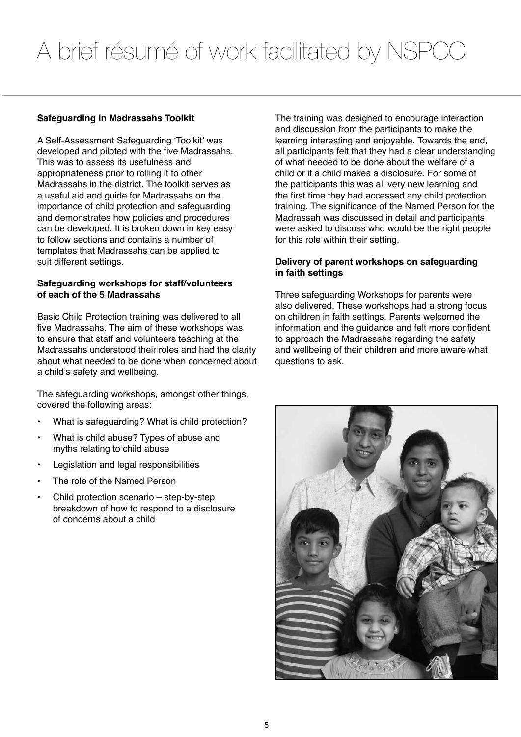#### **Safeguarding in Madrassahs Toolkit**

A Self-Assessment Safeguarding 'Toolkit' was developed and piloted with the five Madrassahs. This was to assess its usefulness and appropriateness prior to rolling it to other Madrassahs in the district. The toolkit serves as a useful aid and guide for Madrassahs on the importance of child protection and safeguarding and demonstrates how policies and procedures can be developed. It is broken down in key easy to follow sections and contains a number of templates that Madrassahs can be applied to suit different settings.

#### **Safeguarding workshops for staff/volunteers of each of the 5 Madrassahs**

Basic Child Protection training was delivered to all five Madrassahs. The aim of these workshops was to ensure that staff and volunteers teaching at the Madrassahs understood their roles and had the clarity about what needed to be done when concerned about a child's safety and wellbeing.

The safeguarding workshops, amongst other things, covered the following areas:

- What is safeguarding? What is child protection?
- What is child abuse? Types of abuse and myths relating to child abuse
- Legislation and legal responsibilities
- The role of the Named Person
- Child protection scenario  $-$  step-by-step breakdown of how to respond to a disclosure of concerns about a child

The training was designed to encourage interaction and discussion from the participants to make the learning interesting and enjoyable. Towards the end, all participants felt that they had a clear understanding of what needed to be done about the welfare of a child or if a child makes a disclosure. For some of the participants this was all very new learning and the first time they had accessed any child protection training. The significance of the Named Person for the Madrassah was discussed in detail and participants were asked to discuss who would be the right people for this role within their setting.

#### **Delivery of parent workshops on safeguarding in faith settings**

Three safeguarding Workshops for parents were also delivered. These workshops had a strong focus on children in faith settings. Parents welcomed the information and the guidance and felt more confident to approach the Madrassahs regarding the safety and wellbeing of their children and more aware what questions to ask.

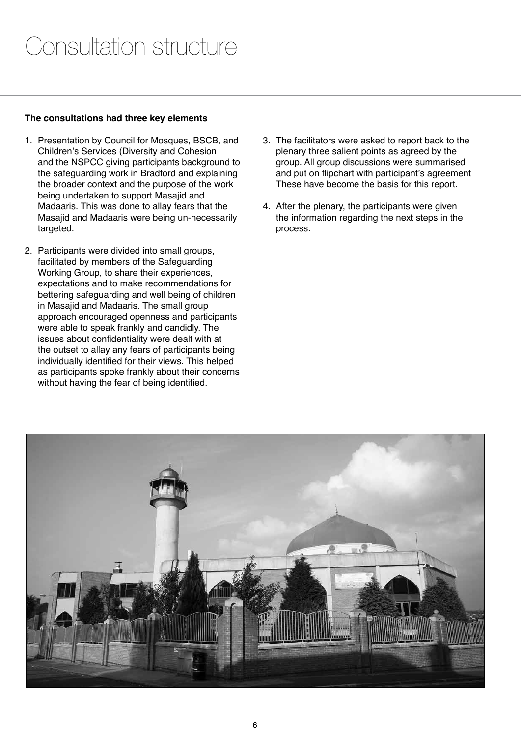#### **The consultations had three key elements**

- 1. Presentation by Council for Mosques, BSCB, and Children's Services (Diversity and Cohesion and the NSPCC giving participants background to the safeguarding work in Bradford and explaining the broader context and the purpose of the work being undertaken to support Masajid and Madaaris. This was done to allay fears that the Masajid and Madaaris were being un-necessarily targeted.
- 2. Participants were divided into small groups, facilitated by members of the Safeguarding Working Group, to share their experiences, expectations and to make recommendations for bettering safeguarding and well being of children in Masajid and Madaaris. The small group approach encouraged openness and participants were able to speak frankly and candidly. The issues about confidentiality were dealt with at the outset to allay any fears of participants being individually identified for their views. This helped as participants spoke frankly about their concerns without having the fear of being identified.
- 3. The facilitators were asked to report back to the plenary three salient points as agreed by the group. All group discussions were summarised and put on flipchart with participant's agreement These have become the basis for this report.
- 4. After the plenary, the participants were given the information regarding the next steps in the process.

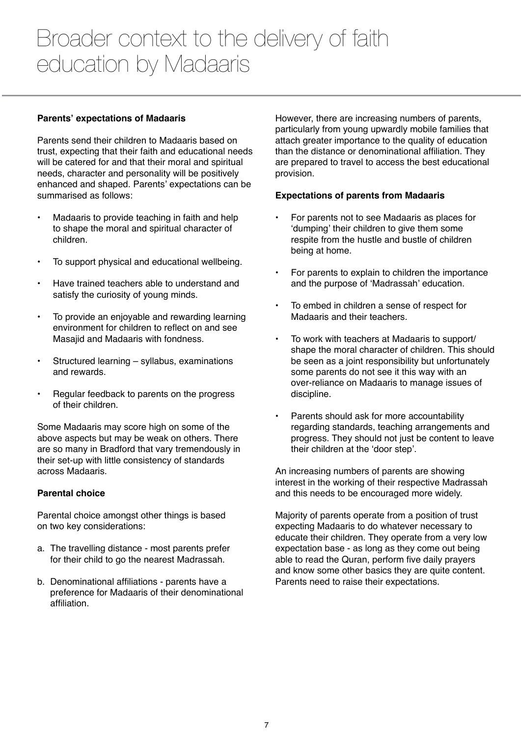### Broader context to the delivery of faith education by Madaaris

#### **Parents' expectations of Madaaris**

Parents send their children to Madaaris based on trust, expecting that their faith and educational needs will be catered for and that their moral and spiritual needs, character and personality will be positively enhanced and shaped. Parents' expectations can be summarised as follows:

- Madaaris to provide teaching in faith and help to shape the moral and spiritual character of children.
- • To support physical and educational wellbeing.
- Have trained teachers able to understand and satisfy the curiosity of young minds.
- • To provide an enjoyable and rewarding learning environment for children to reflect on and see Masajid and Madaaris with fondness.
- Structured learning syllabus, examinations and rewards.
- Regular feedback to parents on the progress of their children.

Some Madaaris may score high on some of the above aspects but may be weak on others. There are so many in Bradford that vary tremendously in their set-up with little consistency of standards across Madaaris.

#### **Parental choice**

Parental choice amongst other things is based on two key considerations:

- a. The travelling distance most parents prefer for their child to go the nearest Madrassah.
- b. Denominational affiliations parents have a preference for Madaaris of their denominational affiliation.

However, there are increasing numbers of parents, particularly from young upwardly mobile families that attach greater importance to the quality of education than the distance or denominational affiliation. They are prepared to travel to access the best educational provision.

#### **Expectations of parents from Madaaris**

- For parents not to see Madaaris as places for 'dumping' their children to give them some respite from the hustle and bustle of children being at home.
- For parents to explain to children the importance and the purpose of 'Madrassah' education.
- To embed in children a sense of respect for Madaaris and their teachers.
- To work with teachers at Madaaris to support/ shape the moral character of children. This should be seen as a joint responsibility but unfortunately some parents do not see it this way with an over-reliance on Madaaris to manage issues of discipline.
- Parents should ask for more accountability regarding standards, teaching arrangements and progress. They should not just be content to leave their children at the 'door step'.

An increasing numbers of parents are showing interest in the working of their respective Madrassah and this needs to be encouraged more widely.

Majority of parents operate from a position of trust expecting Madaaris to do whatever necessary to educate their children. They operate from a very low expectation base - as long as they come out being able to read the Quran, perform five daily prayers and know some other basics they are quite content. Parents need to raise their expectations.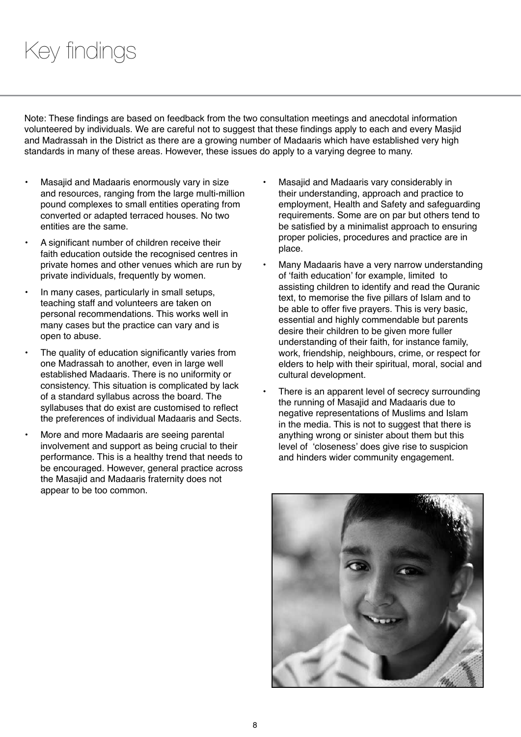# Key findings

Note: These findings are based on feedback from the two consultation meetings and anecdotal information volunteered by individuals. We are careful not to suggest that these findings apply to each and every Masjid and Madrassah in the District as there are a growing number of Madaaris which have established very high standards in many of these areas. However, these issues do apply to a varying degree to many.

- Masajid and Madaaris enormously vary in size and resources, ranging from the large multi-million pound complexes to small entities operating from converted or adapted terraced houses. No two entities are the same.
- A significant number of children receive their faith education outside the recognised centres in private homes and other venues which are run by private individuals, frequently by women.
- In many cases, particularly in small setups, teaching staff and volunteers are taken on personal recommendations. This works well in many cases but the practice can vary and is open to abuse.
- The quality of education significantly varies from one Madrassah to another, even in large well established Madaaris. There is no uniformity or consistency. This situation is complicated by lack of a standard syllabus across the board. The syllabuses that do exist are customised to reflect the preferences of individual Madaaris and Sects.
- More and more Madaaris are seeing parental involvement and support as being crucial to their performance. This is a healthy trend that needs to be encouraged. However, general practice across the Masajid and Madaaris fraternity does not appear to be too common.
- Masajid and Madaaris vary considerably in their understanding, approach and practice to employment, Health and Safety and safeguarding requirements. Some are on par but others tend to be satisfied by a minimalist approach to ensuring proper policies, procedures and practice are in place.
- Many Madaaris have a very narrow understanding of 'faith education' for example, limited to assisting children to identify and read the Quranic text, to memorise the five pillars of Islam and to be able to offer five prayers. This is very basic, essential and highly commendable but parents desire their children to be given more fuller understanding of their faith, for instance family, work, friendship, neighbours, crime, or respect for elders to help with their spiritual, moral, social and cultural development.
- There is an apparent level of secrecy surrounding the running of Masajid and Madaaris due to negative representations of Muslims and Islam in the media. This is not to suggest that there is anything wrong or sinister about them but this level of 'closeness' does give rise to suspicion and hinders wider community engagement.

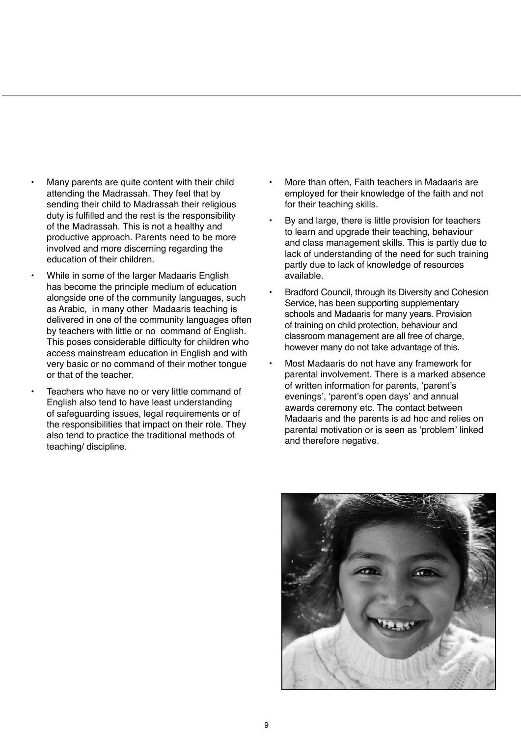- Many parents are quite content with their child attending the Madrassah. They feel that by sending their child to Madrassah their religious duty is fulfilled and the rest is the responsibility of the Madrassah. This is not a healthy and productive approach. Parents need to be more involved and more discerning regarding the education of their children.
- While in some of the larger Madaaris English has become the principle medium of education alongside one of the community languages, such as Arabic, in many other Madaaris teaching is delivered in one of the community languages often by teachers with little or no command of English. This poses considerable difficulty for children who access mainstream education in English and with very basic or no command of their mother tongue or that of the teacher.
- Teachers who have no or very little command of English also tend to have least understanding of safeguarding issues, legal requirements or of the responsibilities that impact on their role. They also tend to practice the traditional methods of teaching/ discipline.
- More than often, Faith teachers in Madaaris are employed for their knowledge of the faith and not for their teaching skills.
- By and large, there is little provision for teachers to learn and upgrade their teaching, behaviour and class management skills. This is partly due to lack of understanding of the need for such training partly due to lack of knowledge of resources available.
- Bradford Council, through its Diversity and Cohesion Service, has been supporting supplementary schools and Madaaris for many years. Provision of training on child protection, behaviour and classroom management are all free of charge, however many do not take advantage of this.
- Most Madaaris do not have any framework for parental involvement. There is a marked absence of written information for parents, 'parent's evenings', 'parent's open days' and annual awards ceremony etc. The contact between Madaaris and the parents is ad hoc and relies on parental motivation or is seen as 'problem' linked and therefore negative.

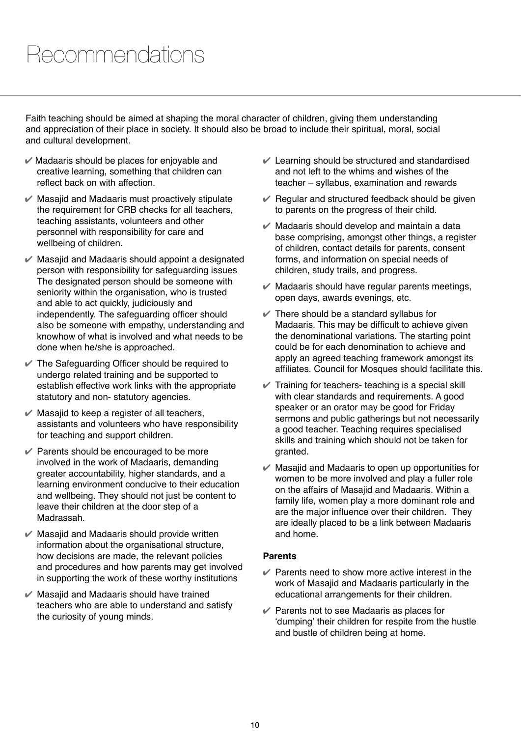### Recommendations

Faith teaching should be aimed at shaping the moral character of children, giving them understanding and appreciation of their place in society. It should also be broad to include their spiritual, moral, social and cultural development.

- $\mathcal V$  Madaaris should be places for enjoyable and creative learning, something that children can reflect back on with affection.
- $\mathcal V$  Masajid and Madaaris must proactively stipulate the requirement for CRB checks for all teachers, teaching assistants, volunteers and other personnel with responsibility for care and wellbeing of children.
- $\mathcal V$  Masajid and Madaaris should appoint a designated person with responsibility for safeguarding issues The designated person should be someone with seniority within the organisation, who is trusted and able to act quickly, judiciously and independently. The safeguarding officer should also be someone with empathy, understanding and knowhow of what is involved and what needs to be done when he/she is approached.
- $\vee$  The Safeguarding Officer should be required to undergo related training and be supported to establish effective work links with the appropriate statutory and non- statutory agencies.
- $\mathcal V$  Masajid to keep a register of all teachers, assistants and volunteers who have responsibility for teaching and support children.
- $\mathcal V$  Parents should be encouraged to be more involved in the work of Madaaris, demanding greater accountability, higher standards, and a learning environment conducive to their education and wellbeing. They should not just be content to leave their children at the door step of a Madrassah.
- $\mathcal V$  Masajid and Madaaris should provide written information about the organisational structure, how decisions are made, the relevant policies and procedures and how parents may get involved in supporting the work of these worthy institutions
- $\mathcal V$  Masajid and Madaaris should have trained teachers who are able to understand and satisfy the curiosity of young minds.
- $\vee$  Learning should be structured and standardised and not left to the whims and wishes of the teacher – syllabus, examination and rewards
- $\vee$  Regular and structured feedback should be given to parents on the progress of their child.
- $\mathcal V$  Madaaris should develop and maintain a data base comprising, amongst other things, a register of children, contact details for parents, consent forms, and information on special needs of children, study trails, and progress.
- $\mathcal V$  Madaaris should have regular parents meetings, open days, awards evenings, etc.
- $\mathcal V$  There should be a standard syllabus for Madaaris. This may be difficult to achieve given the denominational variations. The starting point could be for each denomination to achieve and apply an agreed teaching framework amongst its affiliates. Council for Mosques should facilitate this.
- $\vee$  Training for teachers- teaching is a special skill with clear standards and requirements. A good speaker or an orator may be good for Friday sermons and public gatherings but not necessarily a good teacher. Teaching requires specialised skills and training which should not be taken for granted.
- $\mathcal V$  Masajid and Madaaris to open up opportunities for women to be more involved and play a fuller role on the affairs of Masajid and Madaaris. Within a family life, women play a more dominant role and are the major influence over their children. They are ideally placed to be a link between Madaaris and home.

#### **Parents**

- $\mathcal V$  Parents need to show more active interest in the work of Masajid and Madaaris particularly in the educational arrangements for their children.
- $\vee$  Parents not to see Madaaris as places for 'dumping' their children for respite from the hustle and bustle of children being at home.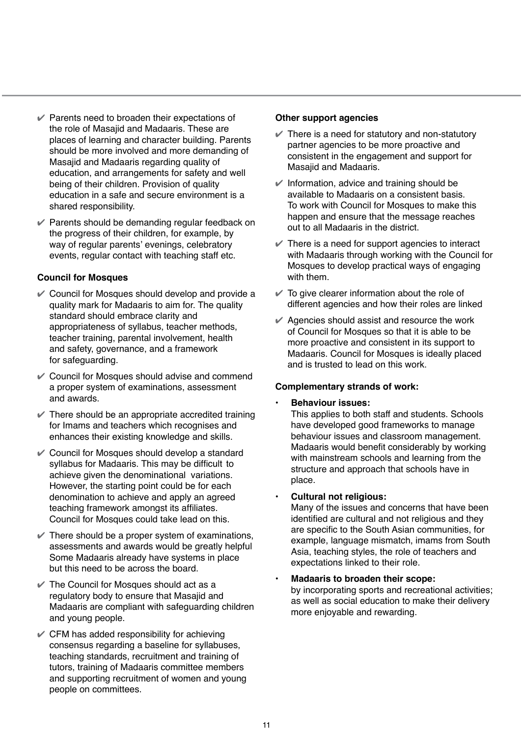- $\vee$  Parents need to broaden their expectations of the role of Masajid and Madaaris. These are places of learning and character building. Parents should be more involved and more demanding of Masajid and Madaaris regarding quality of education, and arrangements for safety and well being of their children. Provision of quality education in a safe and secure environment is a shared responsibility.
- $\mathcal V$  Parents should be demanding regular feedback on the progress of their children, for example, by way of regular parents' evenings, celebratory events, regular contact with teaching staff etc.

#### **Council for Mosques**

- $\mathcal V$  Council for Mosques should develop and provide a quality mark for Madaaris to aim for. The quality standard should embrace clarity and appropriateness of syllabus, teacher methods, teacher training, parental involvement, health and safety, governance, and a framework for safeguarding.
- $\mathcal V$  Council for Mosques should advise and commend a proper system of examinations, assessment and awards.
- $\vee$  There should be an appropriate accredited training for Imams and teachers which recognises and enhances their existing knowledge and skills.
- $\mathscr V$  Council for Mosques should develop a standard syllabus for Madaaris. This may be difficult to achieve given the denominational variations. However, the starting point could be for each denomination to achieve and apply an agreed teaching framework amongst its affiliates. Council for Mosques could take lead on this.
- $\mathcal V$  There should be a proper system of examinations, assessments and awards would be greatly helpful Some Madaaris already have systems in place but this need to be across the board.
- $\vee$  The Council for Mosques should act as a regulatory body to ensure that Masajid and Madaaris are compliant with safeguarding children and young people.
- $\mathcal V$  CFM has added responsibility for achieving consensus regarding a baseline for syllabuses, teaching standards, recruitment and training of tutors, training of Madaaris committee members and supporting recruitment of women and young people on committees.

#### **Other support agencies**

- $\vee$  There is a need for statutory and non-statutory partner agencies to be more proactive and consistent in the engagement and support for Masajid and Madaaris.
- $\mathcal V$  Information, advice and training should be available to Madaaris on a consistent basis. To work with Council for Mosques to make this happen and ensure that the message reaches out to all Madaaris in the district.
- $\vee$  There is a need for support agencies to interact with Madaaris through working with the Council for Mosques to develop practical ways of engaging with them.
- $\checkmark$  To give clearer information about the role of different agencies and how their roles are linked
- $\mathcal V$  Agencies should assist and resource the work of Council for Mosques so that it is able to be more proactive and consistent in its support to Madaaris. Council for Mosques is ideally placed and is trusted to lead on this work.

#### **Complementary strands of work:**

#### **Behaviour issues:**

This applies to both staff and students. Schools have developed good frameworks to manage behaviour issues and classroom management. Madaaris would benefit considerably by working with mainstream schools and learning from the structure and approach that schools have in place.

#### **Cultural not religious:**

Many of the issues and concerns that have been identified are cultural and not religious and they are specific to the South Asian communities, for example, language mismatch, imams from South Asia, teaching styles, the role of teachers and expectations linked to their role.

#### **• Madaaris to broaden their scope:**

by incorporating sports and recreational activities; as well as social education to make their delivery more enjoyable and rewarding.